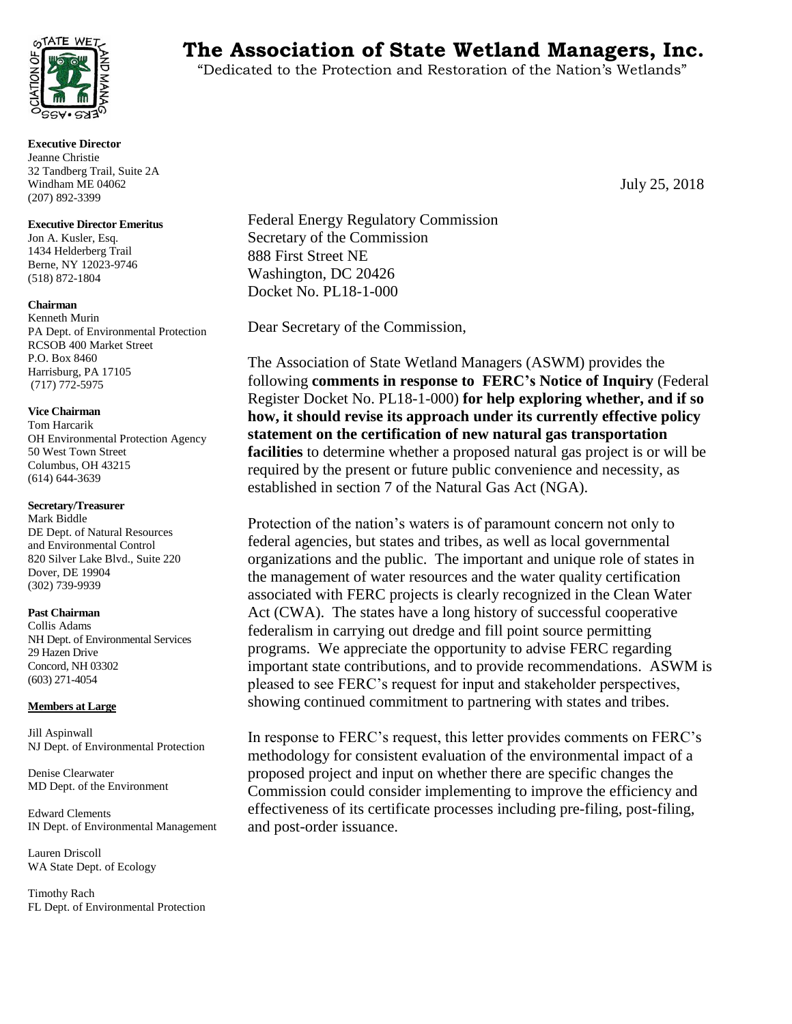

**Executive Director** Jeanne Christie 32 Tandberg Trail, Suite 2A Windham ME 04062 (207) 892-3399

#### **Executive Director Emeritus**

Jon A. Kusler, Esq. 1434 Helderberg Trail Berne, NY 12023-9746 (518) 872-1804

#### **Chairman**

Kenneth Murin PA Dept. of Environmental Protection RCSOB 400 Market Street P.O. Box 8460 Harrisburg, PA 17105 (717) 772-5975

### **Vice Chairman**

Tom Harcarik OH Environmental Protection Agency 50 West Town Street Columbus, OH 43215 (614) 644-3639

#### **Secretary/Treasurer**

Mark Biddle DE Dept. of Natural Resources and Environmental Control 820 Silver Lake Blvd., Suite 220 Dover, DE 19904 (302) 739-9939

#### **Past Chairman**

Collis Adams NH Dept. of Environmental Services 29 Hazen Drive Concord, NH 03302 (603) 271-4054

### **Members at Large**

Jill Aspinwall NJ Dept. of Environmental Protection

Denise Clearwater MD Dept. of the Environment

Edward Clements IN Dept. of Environmental Management

Lauren Driscoll WA State Dept. of Ecology

Timothy Rach FL Dept. of Environmental Protection

# **TATE WET The Association of State Wetland Managers, Inc.**

"Dedicated to the Protection and Restoration of the Nation's Wetlands"

July 25, 2018

Federal Energy Regulatory Commission Secretary of the Commission 888 First Street NE Washington, DC 20426 Docket No. PL18-1-000

Dear Secretary of the Commission,

The Association of State Wetland Managers (ASWM) provides the following **comments in response to FERC's Notice of Inquiry** (Federal Register Docket No. PL18-1-000) **for help exploring whether, and if so how, it should revise its approach under its currently effective policy statement on the certification of new natural gas transportation facilities** to determine whether a proposed natural gas project is or will be required by the present or future public convenience and necessity, as established in section 7 of the Natural Gas Act (NGA).

Protection of the nation's waters is of paramount concern not only to federal agencies, but states and tribes, as well as local governmental organizations and the public. The important and unique role of states in the management of water resources and the water quality certification associated with FERC projects is clearly recognized in the Clean Water Act (CWA). The states have a long history of successful cooperative federalism in carrying out dredge and fill point source permitting programs. We appreciate the opportunity to advise FERC regarding important state contributions, and to provide recommendations. ASWM is pleased to see FERC's request for input and stakeholder perspectives, showing continued commitment to partnering with states and tribes.

In response to FERC's request, this letter provides comments on FERC's methodology for consistent evaluation of the environmental impact of a proposed project and input on whether there are specific changes the Commission could consider implementing to improve the efficiency and effectiveness of its certificate processes including pre-filing, post-filing, and post-order issuance.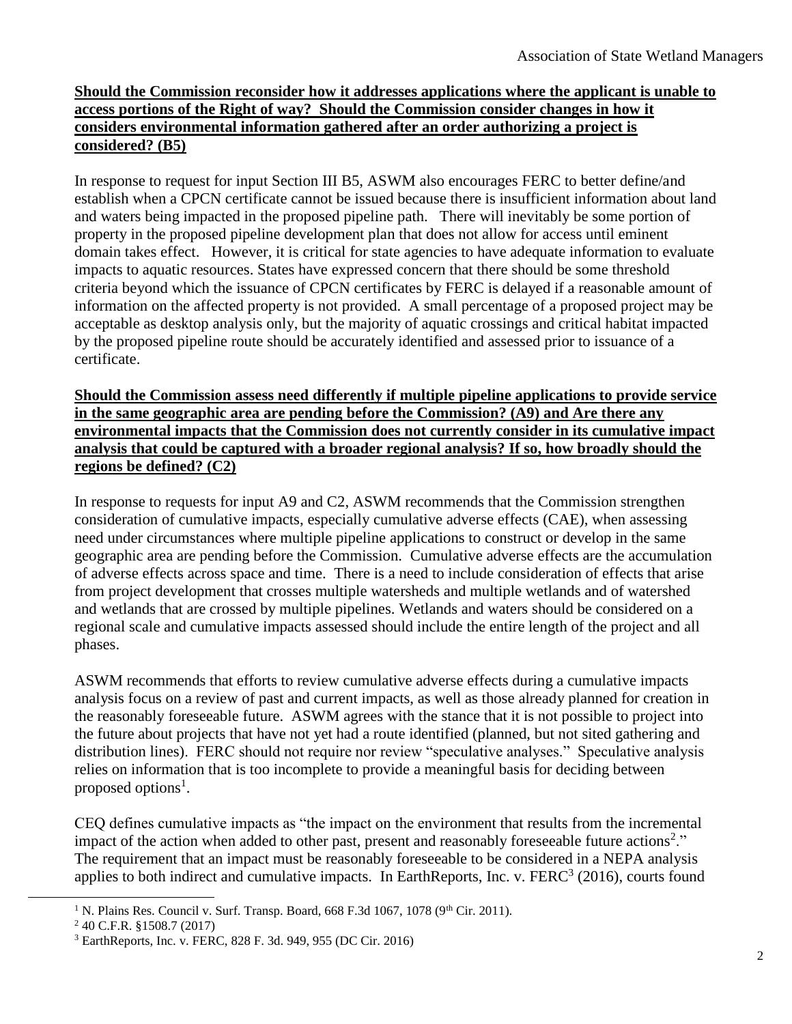## **Should the Commission reconsider how it addresses applications where the applicant is unable to access portions of the Right of way? Should the Commission consider changes in how it considers environmental information gathered after an order authorizing a project is considered? (B5)**

In response to request for input Section III B5, ASWM also encourages FERC to better define/and establish when a CPCN certificate cannot be issued because there is insufficient information about land and waters being impacted in the proposed pipeline path. There will inevitably be some portion of property in the proposed pipeline development plan that does not allow for access until eminent domain takes effect. However, it is critical for state agencies to have adequate information to evaluate impacts to aquatic resources. States have expressed concern that there should be some threshold criteria beyond which the issuance of CPCN certificates by FERC is delayed if a reasonable amount of information on the affected property is not provided. A small percentage of a proposed project may be acceptable as desktop analysis only, but the majority of aquatic crossings and critical habitat impacted by the proposed pipeline route should be accurately identified and assessed prior to issuance of a certificate.

**Should the Commission assess need differently if multiple pipeline applications to provide service in the same geographic area are pending before the Commission? (A9) and Are there any environmental impacts that the Commission does not currently consider in its cumulative impact analysis that could be captured with a broader regional analysis? If so, how broadly should the regions be defined? (C2)**

In response to requests for input A9 and C2, ASWM recommends that the Commission strengthen consideration of cumulative impacts, especially cumulative adverse effects (CAE), when assessing need under circumstances where multiple pipeline applications to construct or develop in the same geographic area are pending before the Commission. Cumulative adverse effects are the accumulation of adverse effects across space and time. There is a need to include consideration of effects that arise from project development that crosses multiple watersheds and multiple wetlands and of watershed and wetlands that are crossed by multiple pipelines. Wetlands and waters should be considered on a regional scale and cumulative impacts assessed should include the entire length of the project and all phases.

ASWM recommends that efforts to review cumulative adverse effects during a cumulative impacts analysis focus on a review of past and current impacts, as well as those already planned for creation in the reasonably foreseeable future. ASWM agrees with the stance that it is not possible to project into the future about projects that have not yet had a route identified (planned, but not sited gathering and distribution lines). FERC should not require nor review "speculative analyses." Speculative analysis relies on information that is too incomplete to provide a meaningful basis for deciding between proposed options<sup>1</sup>.

CEQ defines cumulative impacts as "the impact on the environment that results from the incremental impact of the action when added to other past, present and reasonably foreseeable future actions<sup>2</sup>." The requirement that an impact must be reasonably foreseeable to be considered in a NEPA analysis applies to both indirect and cumulative impacts. In EarthReports, Inc. v.  $FERC<sup>3</sup>$  (2016), courts found

l

<sup>&</sup>lt;sup>1</sup> N. Plains Res. Council v. Surf. Transp. Board, 668 F.3d 1067, 1078 (9<sup>th</sup> Cir. 2011).

<sup>2</sup> 40 C.F.R. §1508.7 (2017)

<sup>3</sup> EarthReports, Inc. v. FERC, 828 F. 3d. 949, 955 (DC Cir. 2016)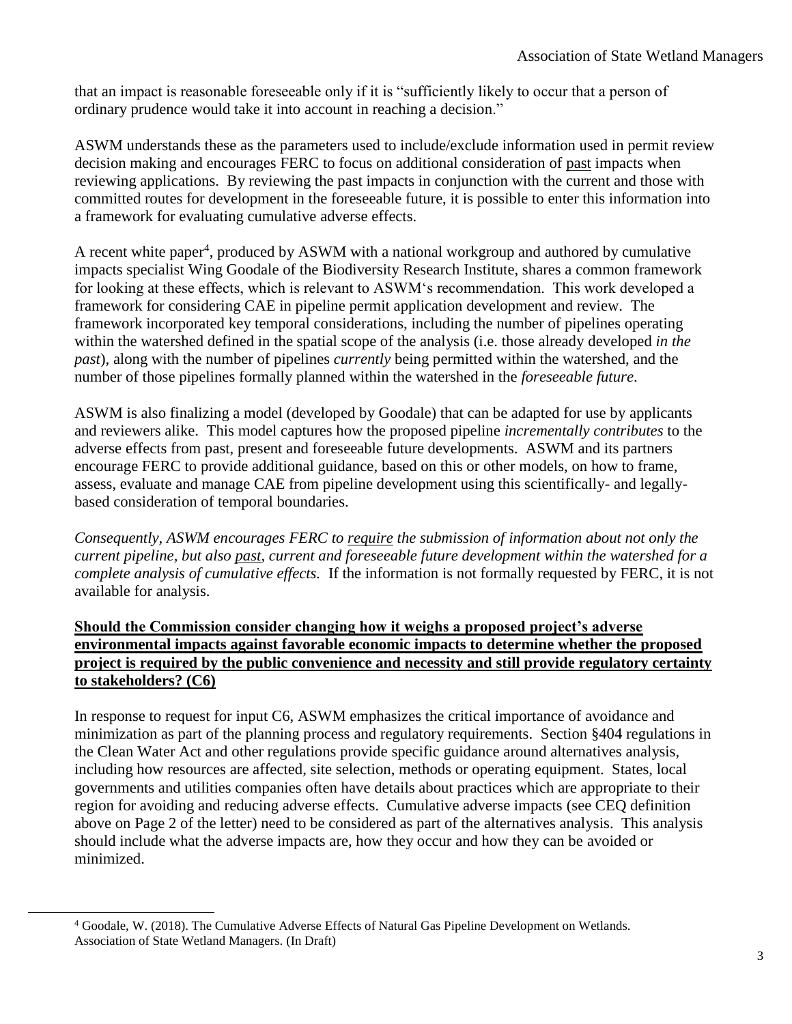that an impact is reasonable foreseeable only if it is "sufficiently likely to occur that a person of ordinary prudence would take it into account in reaching a decision."

ASWM understands these as the parameters used to include/exclude information used in permit review decision making and encourages FERC to focus on additional consideration of past impacts when reviewing applications. By reviewing the past impacts in conjunction with the current and those with committed routes for development in the foreseeable future, it is possible to enter this information into a framework for evaluating cumulative adverse effects.

A recent white paper<sup>4</sup>, produced by ASWM with a national workgroup and authored by cumulative impacts specialist Wing Goodale of the Biodiversity Research Institute, shares a common framework for looking at these effects, which is relevant to ASWM's recommendation. This work developed a framework for considering CAE in pipeline permit application development and review. The framework incorporated key temporal considerations, including the number of pipelines operating within the watershed defined in the spatial scope of the analysis (i.e. those already developed *in the past*), along with the number of pipelines *currently* being permitted within the watershed, and the number of those pipelines formally planned within the watershed in the *foreseeable future*.

ASWM is also finalizing a model (developed by Goodale) that can be adapted for use by applicants and reviewers alike. This model captures how the proposed pipeline *incrementally contributes* to the adverse effects from past, present and foreseeable future developments. ASWM and its partners encourage FERC to provide additional guidance, based on this or other models, on how to frame, assess, evaluate and manage CAE from pipeline development using this scientifically- and legallybased consideration of temporal boundaries.

*Consequently, ASWM encourages FERC to require the submission of information about not only the current pipeline, but also past, current and foreseeable future development within the watershed for a complete analysis of cumulative effects.* If the information is not formally requested by FERC, it is not available for analysis.

## **Should the Commission consider changing how it weighs a proposed project's adverse environmental impacts against favorable economic impacts to determine whether the proposed project is required by the public convenience and necessity and still provide regulatory certainty to stakeholders? (C6)**

In response to request for input C6, ASWM emphasizes the critical importance of avoidance and minimization as part of the planning process and regulatory requirements. Section §404 regulations in the Clean Water Act and other regulations provide specific guidance around alternatives analysis, including how resources are affected, site selection, methods or operating equipment. States, local governments and utilities companies often have details about practices which are appropriate to their region for avoiding and reducing adverse effects. Cumulative adverse impacts (see CEQ definition above on Page 2 of the letter) need to be considered as part of the alternatives analysis. This analysis should include what the adverse impacts are, how they occur and how they can be avoided or minimized.

l

<sup>4</sup> Goodale, W. (2018). The Cumulative Adverse Effects of Natural Gas Pipeline Development on Wetlands. Association of State Wetland Managers. (In Draft)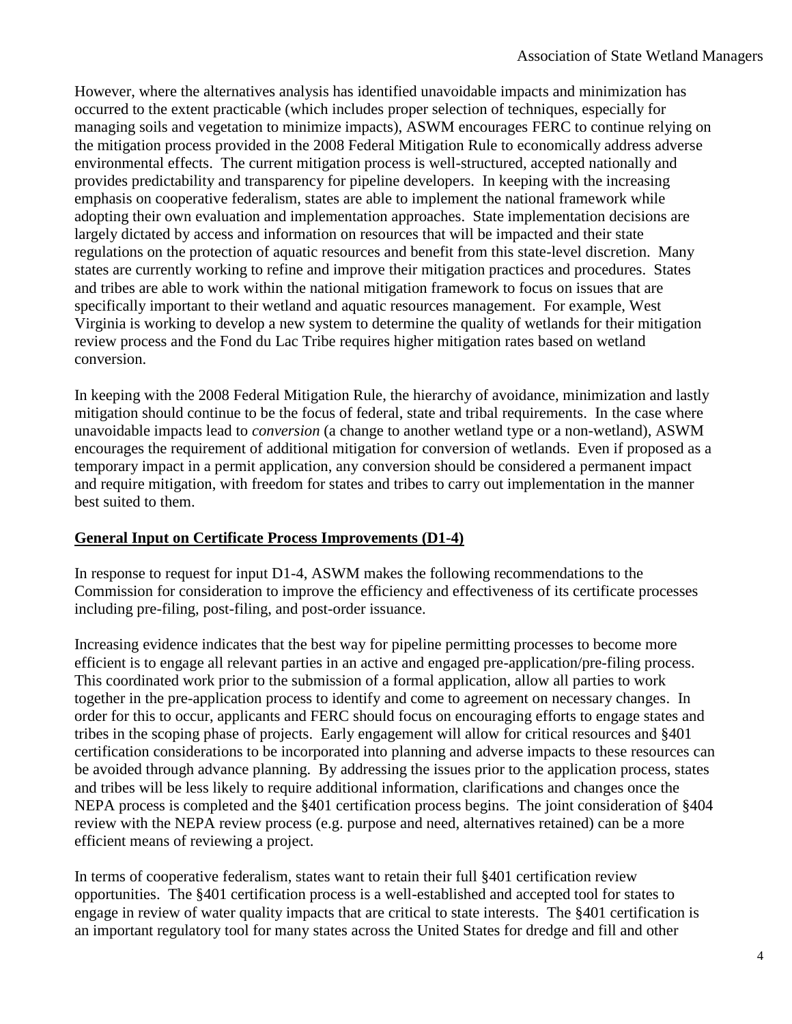However, where the alternatives analysis has identified unavoidable impacts and minimization has occurred to the extent practicable (which includes proper selection of techniques, especially for managing soils and vegetation to minimize impacts), ASWM encourages FERC to continue relying on the mitigation process provided in the 2008 Federal Mitigation Rule to economically address adverse environmental effects. The current mitigation process is well-structured, accepted nationally and provides predictability and transparency for pipeline developers. In keeping with the increasing emphasis on cooperative federalism, states are able to implement the national framework while adopting their own evaluation and implementation approaches. State implementation decisions are largely dictated by access and information on resources that will be impacted and their state regulations on the protection of aquatic resources and benefit from this state-level discretion. Many states are currently working to refine and improve their mitigation practices and procedures. States and tribes are able to work within the national mitigation framework to focus on issues that are specifically important to their wetland and aquatic resources management. For example, West Virginia is working to develop a new system to determine the quality of wetlands for their mitigation review process and the Fond du Lac Tribe requires higher mitigation rates based on wetland conversion.

In keeping with the 2008 Federal Mitigation Rule, the hierarchy of avoidance, minimization and lastly mitigation should continue to be the focus of federal, state and tribal requirements. In the case where unavoidable impacts lead to *conversion* (a change to another wetland type or a non-wetland), ASWM encourages the requirement of additional mitigation for conversion of wetlands. Even if proposed as a temporary impact in a permit application, any conversion should be considered a permanent impact and require mitigation, with freedom for states and tribes to carry out implementation in the manner best suited to them.

## **General Input on Certificate Process Improvements (D1-4)**

In response to request for input D1-4, ASWM makes the following recommendations to the Commission for consideration to improve the efficiency and effectiveness of its certificate processes including pre-filing, post-filing, and post-order issuance.

Increasing evidence indicates that the best way for pipeline permitting processes to become more efficient is to engage all relevant parties in an active and engaged pre-application/pre-filing process. This coordinated work prior to the submission of a formal application, allow all parties to work together in the pre-application process to identify and come to agreement on necessary changes. In order for this to occur, applicants and FERC should focus on encouraging efforts to engage states and tribes in the scoping phase of projects. Early engagement will allow for critical resources and §401 certification considerations to be incorporated into planning and adverse impacts to these resources can be avoided through advance planning. By addressing the issues prior to the application process, states and tribes will be less likely to require additional information, clarifications and changes once the NEPA process is completed and the §401 certification process begins. The joint consideration of §404 review with the NEPA review process (e.g. purpose and need, alternatives retained) can be a more efficient means of reviewing a project.

In terms of cooperative federalism, states want to retain their full §401 certification review opportunities. The §401 certification process is a well-established and accepted tool for states to engage in review of water quality impacts that are critical to state interests. The §401 certification is an important regulatory tool for many states across the United States for dredge and fill and other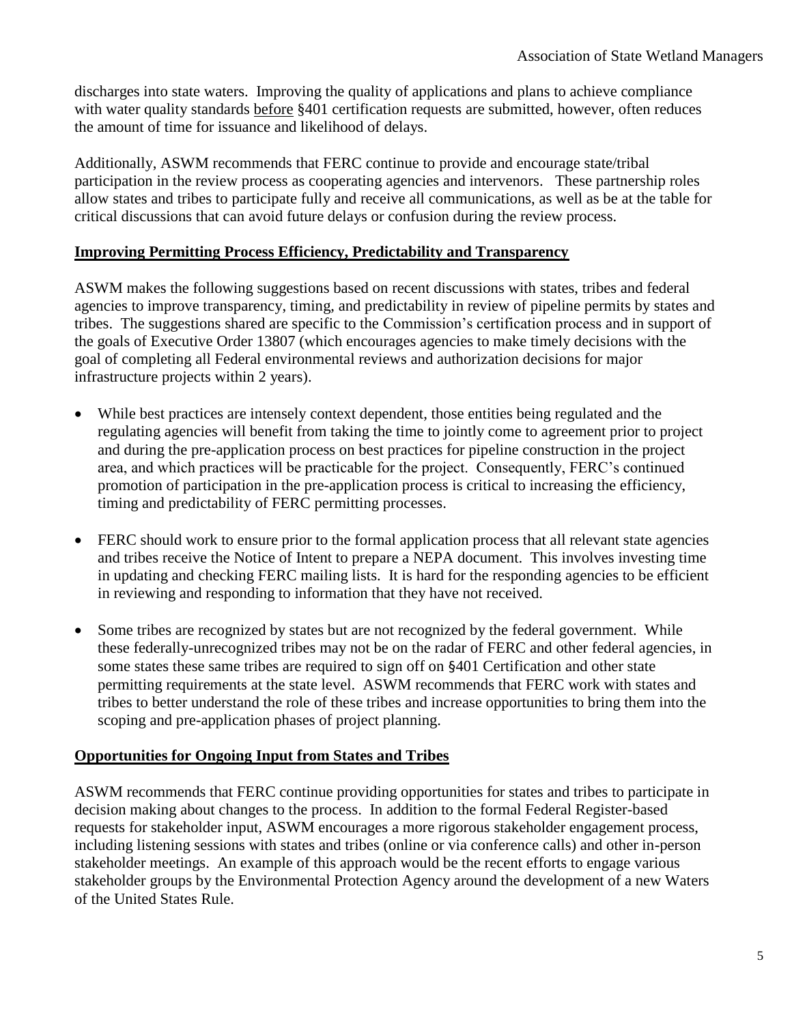discharges into state waters. Improving the quality of applications and plans to achieve compliance with water quality standards before §401 certification requests are submitted, however, often reduces the amount of time for issuance and likelihood of delays.

Additionally, ASWM recommends that FERC continue to provide and encourage state/tribal participation in the review process as cooperating agencies and intervenors. These partnership roles allow states and tribes to participate fully and receive all communications, as well as be at the table for critical discussions that can avoid future delays or confusion during the review process.

## **Improving Permitting Process Efficiency, Predictability and Transparency**

ASWM makes the following suggestions based on recent discussions with states, tribes and federal agencies to improve transparency, timing, and predictability in review of pipeline permits by states and tribes. The suggestions shared are specific to the Commission's certification process and in support of the goals of Executive Order 13807 (which encourages agencies to make timely decisions with the goal of completing all Federal environmental reviews and authorization decisions for major infrastructure projects within 2 years).

- While best practices are intensely context dependent, those entities being regulated and the regulating agencies will benefit from taking the time to jointly come to agreement prior to project and during the pre-application process on best practices for pipeline construction in the project area, and which practices will be practicable for the project. Consequently, FERC's continued promotion of participation in the pre-application process is critical to increasing the efficiency, timing and predictability of FERC permitting processes.
- FERC should work to ensure prior to the formal application process that all relevant state agencies and tribes receive the Notice of Intent to prepare a NEPA document. This involves investing time in updating and checking FERC mailing lists. It is hard for the responding agencies to be efficient in reviewing and responding to information that they have not received.
- Some tribes are recognized by states but are not recognized by the federal government. While these federally-unrecognized tribes may not be on the radar of FERC and other federal agencies, in some states these same tribes are required to sign off on §401 Certification and other state permitting requirements at the state level. ASWM recommends that FERC work with states and tribes to better understand the role of these tribes and increase opportunities to bring them into the scoping and pre-application phases of project planning.

## **Opportunities for Ongoing Input from States and Tribes**

ASWM recommends that FERC continue providing opportunities for states and tribes to participate in decision making about changes to the process. In addition to the formal Federal Register-based requests for stakeholder input, ASWM encourages a more rigorous stakeholder engagement process, including listening sessions with states and tribes (online or via conference calls) and other in-person stakeholder meetings. An example of this approach would be the recent efforts to engage various stakeholder groups by the Environmental Protection Agency around the development of a new Waters of the United States Rule.